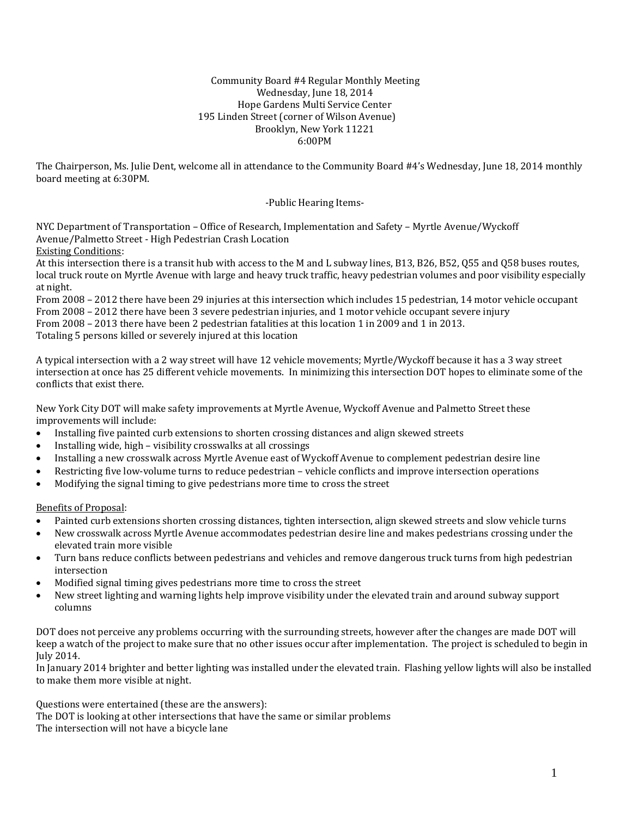### Community Board #4 Regular Monthly Meeting Wednesday, June 18, 2014 Hope Gardens Multi Service Center 195 Linden Street (corner of Wilson Avenue) Brooklyn, New York 11221 6:00PM

The Chairperson, Ms. Julie Dent, welcome all in attendance to the Community Board #4's Wednesday, June 18, 2014 monthly board meeting at 6:30PM.

### -Public Hearing Items-

NYC Department of Transportation - Office of Research, Implementation and Safety - Myrtle Avenue/Wyckoff Avenue/Palmetto Street - High Pedestrian Crash Location **Existing Conditions:** 

At this intersection there is a transit hub with access to the M and L subway lines, B13, B26, B52, Q55 and Q58 buses routes, local truck route on Myrtle Avenue with large and heavy truck traffic, heavy pedestrian volumes and poor visibility especially at night.

From 2008 – 2012 there have been 29 injuries at this intersection which includes 15 pedestrian, 14 motor vehicle occupant From 2008 – 2012 there have been 3 severe pedestrian injuries, and 1 motor vehicle occupant severe injury From 2008 - 2013 there have been 2 pedestrian fatalities at this location 1 in 2009 and 1 in 2013. Totaling 5 persons killed or severely injured at this location

A typical intersection with a 2 way street will have 12 yehicle movements: Myrtle/Wyckoff because it has a 3 way street intersection at once has 25 different vehicle movements. In minimizing this intersection DOT hopes to eliminate some of the conflicts that exist there.

New York City DOT will make safety improvements at Myrtle Avenue, Wyckoff Avenue and Palmetto Street these improvements will include:

- Installing five painted curb extensions to shorten crossing distances and align skewed streets
- Installing wide, high visibility crosswalks at all crossings
- Installing a new crosswalk across Myrtle Avenue east of Wyckoff Avenue to complement pedestrian desire line
- Restricting five low-volume turns to reduce pedestrian vehicle conflicts and improve intersection operations
- Modifying the signal timing to give pedestrians more time to cross the street

Benefits of Proposal:

- Painted curb extensions shorten crossing distances, tighten intersection, align skewed streets and slow vehicle turns
- New crosswalk across Myrtle Avenue accommodates pedestrian desire line and makes pedestrians crossing under the elevated train more visible
- Turn bans reduce conflicts between pedestrians and vehicles and remove dangerous truck turns from high pedestrian intersection
- Modified signal timing gives pedestrians more time to cross the street
- New street lighting and warning lights help improve visibility under the elevated train and around subway support columns

DOT does not perceive any problems occurring with the surrounding streets, however after the changes are made DOT will keep a watch of the project to make sure that no other issues occur after implementation. The project is scheduled to begin in July 2014. 

In January 2014 brighter and better lighting was installed under the elevated train. Flashing yellow lights will also be installed to make them more visible at night.

Questions were entertained (these are the answers): The DOT is looking at other intersections that have the same or similar problems The intersection will not have a bicycle lane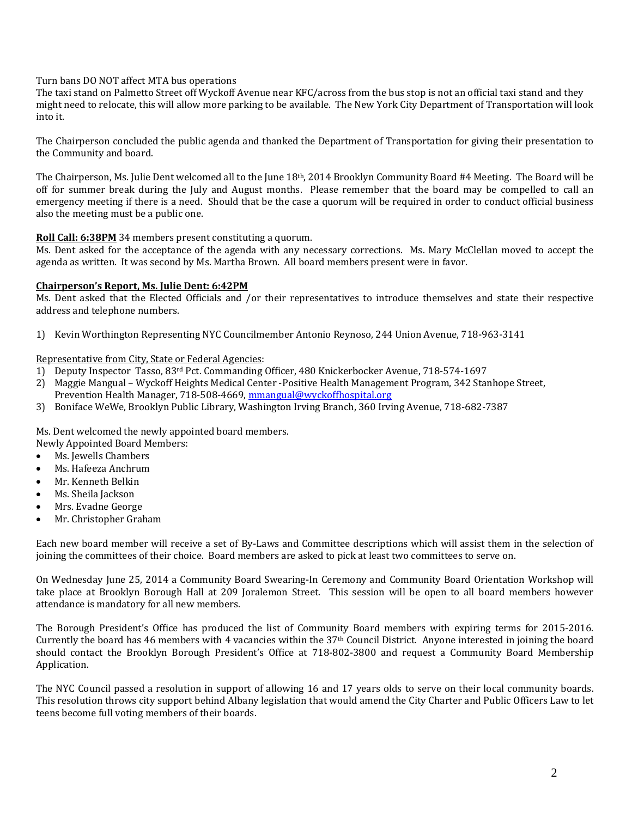### Turn bans DO NOT affect MTA bus operations

The taxi stand on Palmetto Street off Wyckoff Avenue near KFC/across from the bus stop is not an official taxi stand and they might need to relocate, this will allow more parking to be available. The New York City Department of Transportation will look into it. 

The Chairperson concluded the public agenda and thanked the Department of Transportation for giving their presentation to the Community and board.

The Chairperson, Ms. Julie Dent welcomed all to the June  $18<sup>th</sup>$ , 2014 Brooklyn Community Board #4 Meeting. The Board will be off for summer break during the July and August months. Please remember that the board may be compelled to call an emergency meeting if there is a need. Should that be the case a quorum will be required in order to conduct official business also the meeting must be a public one.

# **Roll Call: 6:38PM** 34 members present constituting a quorum.

Ms. Dent asked for the acceptance of the agenda with any necessary corrections. Ms. Mary McClellan moved to accept the agenda as written. It was second by Ms. Martha Brown. All board members present were in favor.

# **Chairperson's Report, Ms. Julie Dent: 6:42PM**

Ms. Dent asked that the Elected Officials and /or their representatives to introduce themselves and state their respective address and telephone numbers.

1) Kevin Worthington Representing NYC Councilmember Antonio Reynoso, 244 Union Avenue, 718-963-3141

# Representative from City, State or Federal Agencies:

- 1) Deputy Inspector Tasso, 83<sup>rd</sup> Pct. Commanding Officer, 480 Knickerbocker Avenue, 718-574-1697
- 2) Maggie Mangual Wyckoff Heights Medical Center -Positive Health Management Program, 342 Stanhope Street, Prevention Health Manager, 718-508-4669, mmangual@wyckoffhospital.org
- 3) Boniface WeWe, Brooklyn Public Library, Washington Irving Branch, 360 Irving Avenue, 718-682-7387

Ms. Dent welcomed the newly appointed board members.

- Newly Appointed Board Members:
- Ms. Jewells Chambers
- Ms. Hafeeza Anchrum
- Mr. Kenneth Belkin
- Ms. Sheila Jackson
- Mrs. Evadne George
- Mr. Christopher Graham

Each new board member will receive a set of By-Laws and Committee descriptions which will assist them in the selection of joining the committees of their choice. Board members are asked to pick at least two committees to serve on.

On Wednesday June 25, 2014 a Community Board Swearing-In Ceremony and Community Board Orientation Workshop will take place at Brooklyn Borough Hall at 209 Joralemon Street. This session will be open to all board members however attendance is mandatory for all new members.

The Borough President's Office has produced the list of Community Board members with expiring terms for 2015-2016. Currently the board has 46 members with 4 vacancies within the  $37<sup>th</sup>$  Council District. Anyone interested in joining the board should contact the Brooklyn Borough President's Office at 718-802-3800 and request a Community Board Membership Application. 

The NYC Council passed a resolution in support of allowing 16 and 17 years olds to serve on their local community boards. This resolution throws city support behind Albany legislation that would amend the City Charter and Public Officers Law to let teens become full voting members of their boards.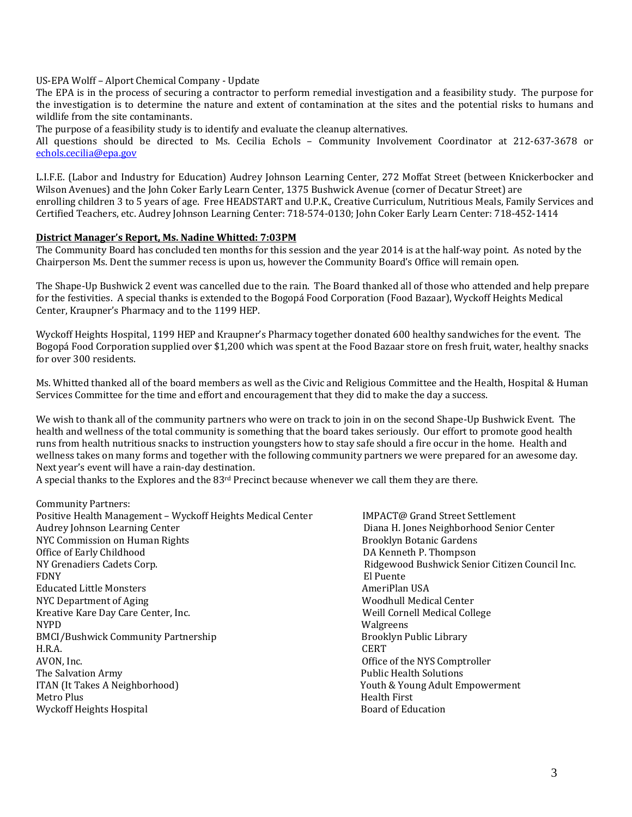#### US-EPA Wolff - Alport Chemical Company - Update

The EPA is in the process of securing a contractor to perform remedial investigation and a feasibility study. The purpose for the investigation is to determine the nature and extent of contamination at the sites and the potential risks to humans and wildlife from the site contaminants.

The purpose of a feasibility study is to identify and evaluate the cleanup alternatives.

All questions should be directed to Ms. Cecilia Echols - Community Involvement Coordinator at 212-637-3678 or echols.cecilia@epa.gov 

L.I.F.E. (Labor and Industry for Education) Audrey Johnson Learning Center, 272 Moffat Street (between Knickerbocker and Wilson Avenues) and the John Coker Early Learn Center, 1375 Bushwick Avenue (corner of Decatur Street) are enrolling children 3 to 5 years of age. Free HEADSTART and U.P.K., Creative Curriculum, Nutritious Meals, Family Services and Certified Teachers, etc. Audrey Johnson Learning Center: 718-574-0130; John Coker Early Learn Center: 718-452-1414

#### **District Manager's Report, Ms. Nadine Whitted: 7:03PM**

The Community Board has concluded ten months for this session and the year 2014 is at the half-way point. As noted by the Chairperson Ms. Dent the summer recess is upon us, however the Community Board's Office will remain open.

The Shape-Up Bushwick 2 event was cancelled due to the rain. The Board thanked all of those who attended and help prepare for the festivities. A special thanks is extended to the Bogopá Food Corporation (Food Bazaar), Wyckoff Heights Medical Center, Kraupner's Pharmacy and to the 1199 HEP.

Wyckoff Heights Hospital, 1199 HEP and Kraupner's Pharmacy together donated 600 healthy sandwiches for the event. The Bogopá Food Corporation supplied over \$1,200 which was spent at the Food Bazaar store on fresh fruit, water, healthy snacks for over 300 residents.

Ms. Whitted thanked all of the board members as well as the Civic and Religious Committee and the Health, Hospital & Human Services Committee for the time and effort and encouragement that they did to make the day a success.

We wish to thank all of the community partners who were on track to join in on the second Shape-Up Bushwick Event. The health and wellness of the total community is something that the board takes seriously. Our effort to promote good health runs from health nutritious snacks to instruction youngsters how to stay safe should a fire occur in the home. Health and wellness takes on many forms and together with the following community partners we were prepared for an awesome day. Next vear's event will have a rain-day destination.

A special thanks to the Explores and the 83<sup>rd</sup> Precinct because whenever we call them they are there.

Community Partners: Positive Health Management - Wyckoff Heights Medical Center **IMPACT@** Grand Street Settlement Audrey Johnson Learning Center **and Center and Center Center Center** *Center <b>Center Center <b>Center <i>Center Center Center Center Center Center Center Center Center Center* NYC Commission on Human Rights Brooklyn Botanic Gardens Office of Early Childhood DA Kenneth P. Thompson NY Grenadiers Cadets Corp. Ridgewood Bushwick Senior Citizen Council Inc. **FDNY** El Puente Educated Little Monsters AmeriPlan USA NYC Department of Aging and the state of the state of the state of the state of the state of the state of the state of the state of the state of the state of the state of the state of the state of the state of the state of Kreative Kare Day Care Center, Inc. Weill Cornell Medical College NYPD Walgreens BMCI/Bushwick Community Partnership Brooklyn Public Library H.R.A. CERT AVON, Inc. Office of the NYS Comptroller The Salvation Army and the state of the Salvation Army and the Salvations of the Salvations of the Salvations of the Salvations of the Salvations of the Salvations of the Salvations of the Salvations of the Salvations of t ITAN (It Takes A Neighborhood) Youth & Young Adult Empowerment Metro Plus Health First Wyckoff Heights Hospital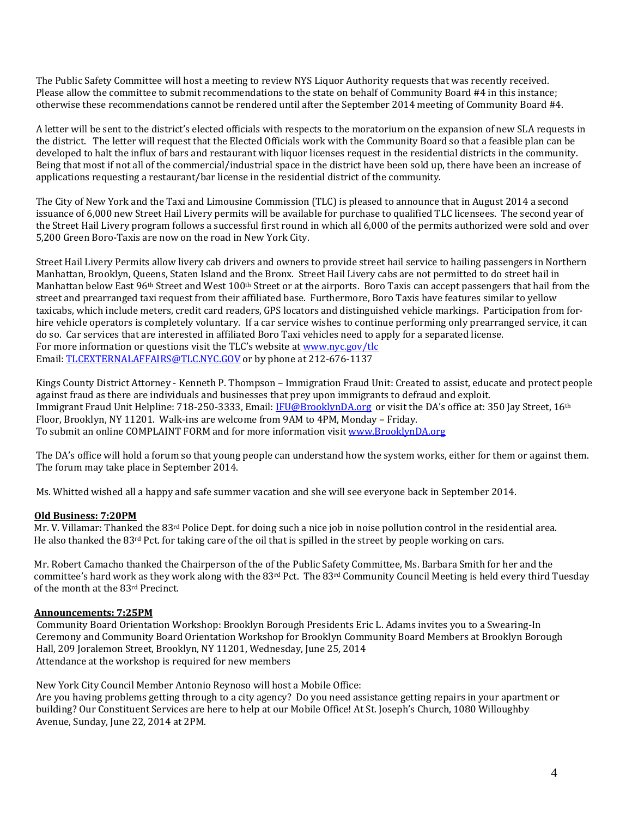The Public Safety Committee will host a meeting to review NYS Liquor Authority requests that was recently received. Please allow the committee to submit recommendations to the state on behalf of Community Board #4 in this instance; otherwise these recommendations cannot be rendered until after the September 2014 meeting of Community Board #4.

A letter will be sent to the district's elected officials with respects to the moratorium on the expansion of new SLA requests in the district. The letter will request that the Elected Officials work with the Community Board so that a feasible plan can be developed to halt the influx of bars and restaurant with liquor licenses request in the residential districts in the community. Being that most if not all of the commercial/industrial space in the district have been sold up, there have been an increase of applications requesting a restaurant/bar license in the residential district of the community.

The City of New York and the Taxi and Limousine Commission (TLC) is pleased to announce that in August 2014 a second issuance of 6,000 new Street Hail Livery permits will be available for purchase to qualified TLC licensees. The second year of the Street Hail Livery program follows a successful first round in which all 6,000 of the permits authorized were sold and over 5,200 Green Boro-Taxis are now on the road in New York City.

Street Hail Livery Permits allow livery cab drivers and owners to provide street hail service to hailing passengers in Northern Manhattan, Brooklyn, Queens, Staten Island and the Bronx. Street Hail Livery cabs are not permitted to do street hail in Manhattan below East  $96<sup>th</sup>$  Street and West  $100<sup>th</sup>$  Street or at the airports. Boro Taxis can accept passengers that hail from the street and prearranged taxi request from their affiliated base. Furthermore, Boro Taxis have features similar to yellow taxicabs, which include meters, credit card readers, GPS locators and distinguished vehicle markings. Participation from forhire vehicle operators is completely voluntary. If a car service wishes to continue performing only prearranged service, it can do so. Car services that are interested in affiliated Boro Taxi vehicles need to apply for a separated license. For more information or questions visit the TLC's website at www.nyc.gov/tlc Email: TLCEXTERNALAFFAIRS@TLC.NYC.GOV or by phone at 212-676-1137

Kings County District Attorney - Kenneth P. Thompson – Immigration Fraud Unit: Created to assist, educate and protect people against fraud as there are individuals and businesses that prey upon immigrants to defraud and exploit. Immigrant Fraud Unit Helpline: 718-250-3333, Email: IFU@BrooklynDA.org or visit the DA's office at: 350 Jay Street, 16<sup>th</sup> Floor, Brooklyn, NY 11201. Walk-ins are welcome from 9AM to 4PM, Monday – Friday. To submit an online COMPLAINT FORM and for more information visit www.BrooklynDA.org

The DA's office will hold a forum so that young people can understand how the system works, either for them or against them. The forum may take place in September 2014.

Ms. Whitted wished all a happy and safe summer vacation and she will see everyone back in September 2014.

# **Old Business: 7:20PM**

Mr. V. Villamar: Thanked the 83<sup>rd</sup> Police Dept. for doing such a nice job in noise pollution control in the residential area. He also thanked the  $83rd$  Pct. for taking care of the oil that is spilled in the street by people working on cars.

Mr. Robert Camacho thanked the Chairperson of the of the Public Safety Committee, Ms. Barbara Smith for her and the committee's hard work as they work along with the 83<sup>rd</sup> Pct. The 83<sup>rd</sup> Community Council Meeting is held every third Tuesday of the month at the 83<sup>rd</sup> Precinct.

# **Announcements: 7:25PM**

Community Board Orientation Workshop: Brooklyn Borough Presidents Eric L. Adams invites you to a Swearing-In Ceremony and Community Board Orientation Workshop for Brooklyn Community Board Members at Brooklyn Borough Hall, 209 Joralemon Street, Brooklyn, NY 11201, Wednesday, June 25, 2014 Attendance at the workshop is required for new members

New York City Council Member Antonio Reynoso will host a Mobile Office: Are you having problems getting through to a city agency? Do you need assistance getting repairs in your apartment or building? Our Constituent Services are here to help at our Mobile Office! At St. Joseph's Church, 1080 Willoughby Avenue, Sunday, June 22, 2014 at 2PM.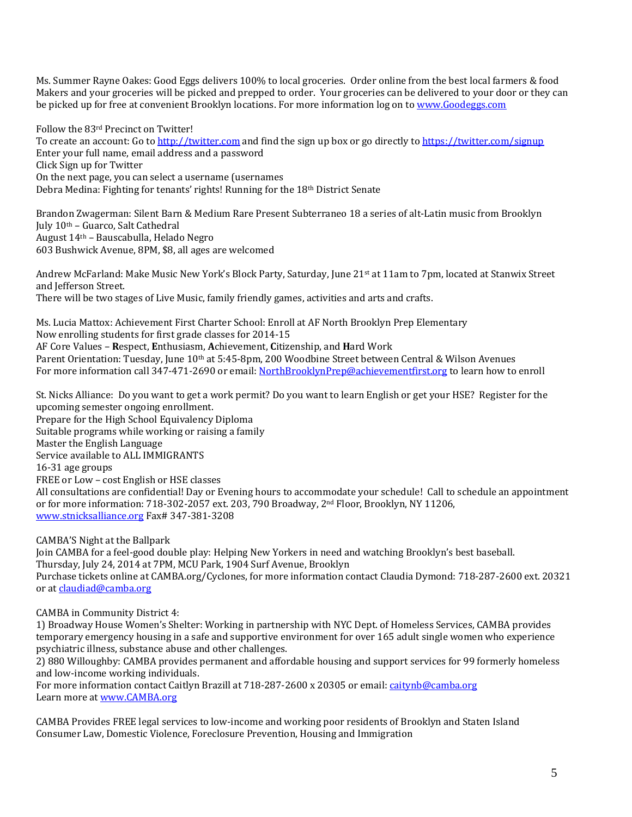Ms. Summer Rayne Oakes: Good Eggs delivers 100% to local groceries. Order online from the best local farmers & food Makers and your groceries will be picked and prepped to order. Your groceries can be delivered to your door or they can be picked up for free at convenient Brooklyn locations. For more information log on to www.Goodeggs.com

Follow the 83<sup>rd</sup> Precinct on Twitter!

To create an account: Go to http://twitter.com and find the sign up box or go directly to https://twitter.com/signup Enter your full name, email address and a password Click Sign up for Twitter On the next page, you can select a username (usernames Debra Medina: Fighting for tenants' rights! Running for the 18<sup>th</sup> District Senate

Brandon Zwagerman: Silent Barn & Medium Rare Present Subterraneo 18 a series of alt-Latin music from Brooklyn July 10<sup>th</sup> – Guarco, Salt Cathedral August 14<sup>th</sup> - Bauscabulla, Helado Negro 603 Bushwick Avenue, 8PM, \$8, all ages are welcomed 

Andrew McFarland: Make Music New York's Block Party, Saturday, June 21st at 11am to 7pm, located at Stanwix Street and Jefferson Street. There will be two stages of Live Music, family friendly games, activities and arts and crafts.

Ms. Lucia Mattox: Achievement First Charter School: Enroll at AF North Brooklyn Prep Elementary Now enrolling students for first grade classes for 2014-15 AF Core Values - Respect, Enthusiasm, Achievement, Citizenship, and Hard Work Parent Orientation: Tuesday, June 10<sup>th</sup> at 5:45-8pm, 200 Woodbine Street between Central & Wilson Avenues For more information call 347-471-2690 or email: NorthBrooklynPrep@achievementfirst.org to learn how to enroll

St. Nicks Alliance: Do you want to get a work permit? Do you want to learn English or get your HSE? Register for the upcoming semester ongoing enrollment. Prepare for the High School Equivalency Diploma Suitable programs while working or raising a family Master the English Language Service available to ALL IMMIGRANTS 16-31 age groups FREE or Low – cost English or HSE classes All consultations are confidential! Day or Evening hours to accommodate your schedule! Call to schedule an appointment or for more information:  $718-302-2057$  ext. 203, 790 Broadway,  $2<sup>nd</sup>$  Floor, Brooklyn, NY 11206, www.stnicksalliance.org Fax# 347-381-3208

CAMBA'S Night at the Ballpark Join CAMBA for a feel-good double play: Helping New Yorkers in need and watching Brooklyn's best baseball. Thursday, July 24, 2014 at 7PM, MCU Park, 1904 Surf Avenue, Brooklyn Purchase tickets online at CAMBA.org/Cyclones, for more information contact Claudia Dymond: 718-287-2600 ext. 20321 or at claudiad@camba.org

CAMBA in Community District 4:

1) Broadway House Women's Shelter: Working in partnership with NYC Dept. of Homeless Services, CAMBA provides temporary emergency housing in a safe and supportive environment for over 165 adult single women who experience psychiatric illness, substance abuse and other challenges.

2) 880 Willoughby: CAMBA provides permanent and affordable housing and support services for 99 formerly homeless and low-income working individuals.

For more information contact Caitlyn Brazill at 718-287-2600 x 20305 or email: caitynb@camba.org Learn more at www.CAMBA.org

CAMBA Provides FREE legal services to low-income and working poor residents of Brooklyn and Staten Island Consumer Law, Domestic Violence, Foreclosure Prevention, Housing and Immigration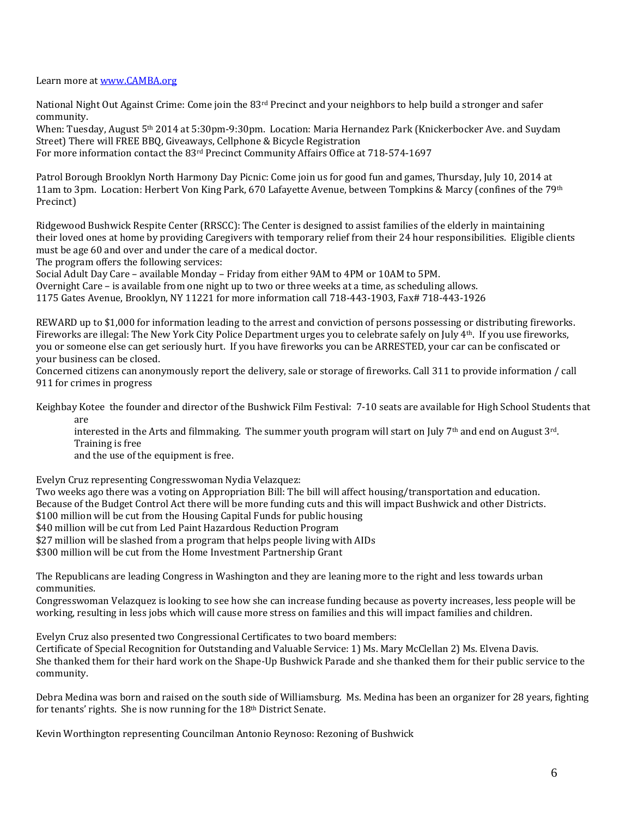Learn more at www.CAMBA.org

National Night Out Against Crime: Come join the  $83<sup>rd</sup>$  Precinct and your neighbors to help build a stronger and safer community. 

When: Tuesday, August 5<sup>th</sup> 2014 at 5:30pm-9:30pm. Location: Maria Hernandez Park (Knickerbocker Ave. and Suydam Street) There will FREE BBQ, Giveaways, Cellphone & Bicycle Registration For more information contact the 83<sup>rd</sup> Precinct Community Affairs Office at 718-574-1697

Patrol Borough Brooklyn North Harmony Day Picnic: Come join us for good fun and games, Thursday, July 10, 2014 at 11am to 3pm. Location: Herbert Von King Park, 670 Lafayette Avenue, between Tompkins & Marcy (confines of the  $79th$ ) Precinct) 

Ridgewood Bushwick Respite Center (RRSCC): The Center is designed to assist families of the elderly in maintaining their loved ones at home by providing Caregivers with temporary relief from their 24 hour responsibilities. Eligible clients must be age 60 and over and under the care of a medical doctor.

The program offers the following services:

Social Adult Day Care - available Monday - Friday from either 9AM to 4PM or 10AM to 5PM.

Overnight Care – is available from one night up to two or three weeks at a time, as scheduling allows.

1175 Gates Avenue, Brooklyn, NY 11221 for more information call 718-443-1903, Fax# 718-443-1926

REWARD up to \$1,000 for information leading to the arrest and conviction of persons possessing or distributing fireworks. Fireworks are illegal: The New York City Police Department urges you to celebrate safely on July  $4<sup>th</sup>$ . If you use fireworks, you or someone else can get seriously hurt. If you have fireworks you can be ARRESTED, your car can be confiscated or your business can be closed.

Concerned citizens can anonymously report the delivery, sale or storage of fireworks. Call 311 to provide information / call 911 for crimes in progress

Keighbay Kotee the founder and director of the Bushwick Film Festival: 7-10 seats are available for High School Students that are 

interested in the Arts and filmmaking. The summer youth program will start on July 7<sup>th</sup> and end on August 3<sup>rd</sup>. Training is free

and the use of the equipment is free.

Evelyn Cruz representing Congresswoman Nydia Velazquez:

Two weeks ago there was a voting on Appropriation Bill: The bill will affect housing/transportation and education.

Because of the Budget Control Act there will be more funding cuts and this will impact Bushwick and other Districts.

\$100 million will be cut from the Housing Capital Funds for public housing

\$40 million will be cut from Led Paint Hazardous Reduction Program

\$27 million will be slashed from a program that helps people living with AIDs

\$300 million will be cut from the Home Investment Partnership Grant

The Republicans are leading Congress in Washington and they are leaning more to the right and less towards urban communities. 

Congresswoman Velazquez is looking to see how she can increase funding because as poverty increases, less people will be working, resulting in less jobs which will cause more stress on families and this will impact families and children.

Evelyn Cruz also presented two Congressional Certificates to two board members: Certificate of Special Recognition for Outstanding and Valuable Service: 1) Ms. Mary McClellan 2) Ms. Elvena Davis. She thanked them for their hard work on the Shape-Up Bushwick Parade and she thanked them for their public service to the community. 

Debra Medina was born and raised on the south side of Williamsburg. Ms. Medina has been an organizer for 28 years, fighting for tenants' rights. She is now running for the  $18<sup>th</sup>$  District Senate.

Kevin Worthington representing Councilman Antonio Reynoso: Rezoning of Bushwick